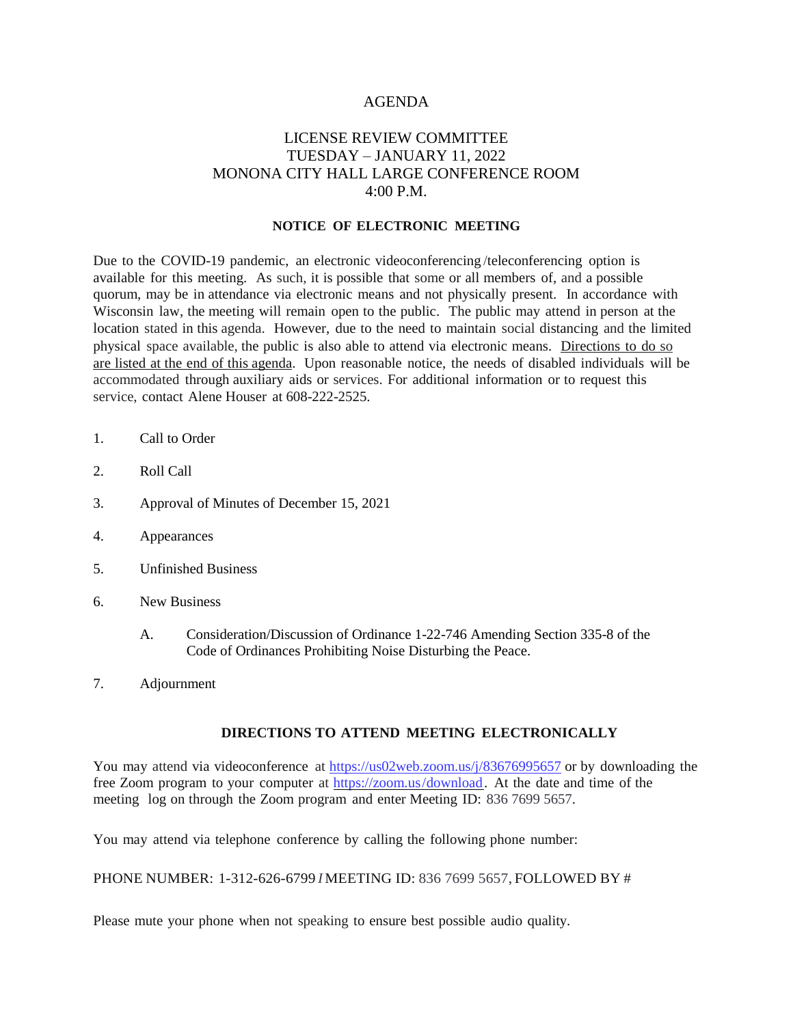#### AGENDA

### LICENSE REVIEW COMMITTEE TUESDAY – JANUARY 11, 2022 MONONA CITY HALL LARGE CONFERENCE ROOM 4:00 P.M.

#### **NOTICE OF ELECTRONIC MEETING**

Due to the COVID-19 pandemic, an electronic videoconferencing /teleconferencing option is available for this meeting. As such, it is possible that some or all members of, and a possible quorum, may be in attendance via electronic means and not physically present. In accordance with Wisconsin law, the meeting will remain open to the public. The public may attend in person at the location stated in this agenda. However, due to the need to maintain social distancing and the limited physical space available, the public is also able to attend via electronic means. Directions to do so are listed at the end of this agenda. Upon reasonable notice, the needs of disabled individuals will be accommodated through auxiliary aids or services. For additional information or to request this service, contact Alene Houser at 608-222-2525.

- 1. Call to Order
- 2. Roll Call
- 3. Approval of Minutes of December 15, 2021
- 4. Appearances
- 5. Unfinished Business
- 6. New Business
	- A. Consideration/Discussion of Ordinance 1-22-746 Amending Section 335-8 of the Code of Ordinances Prohibiting Noise Disturbing the Peace.
- 7. Adjournment

#### **DIRECTIONS TO ATTEND MEETING ELECTRONICALLY**

You may attend via videoconference at <https://us02web.zoom.us/j/83676995657> or by downloading the free Zoom program to your computer at https://zoom.us/download. At the date and time of the meeting log on through the Zoom program and enter Meeting ID: 836 7699 5657.

You may attend via telephone conference by calling the following phone number:

#### PHONE NUMBER: 1-312-626-6799 *I*MEETING ID: 836 7699 5657, FOLLOWED BY #

Please mute your phone when not speaking to ensure best possible audio quality.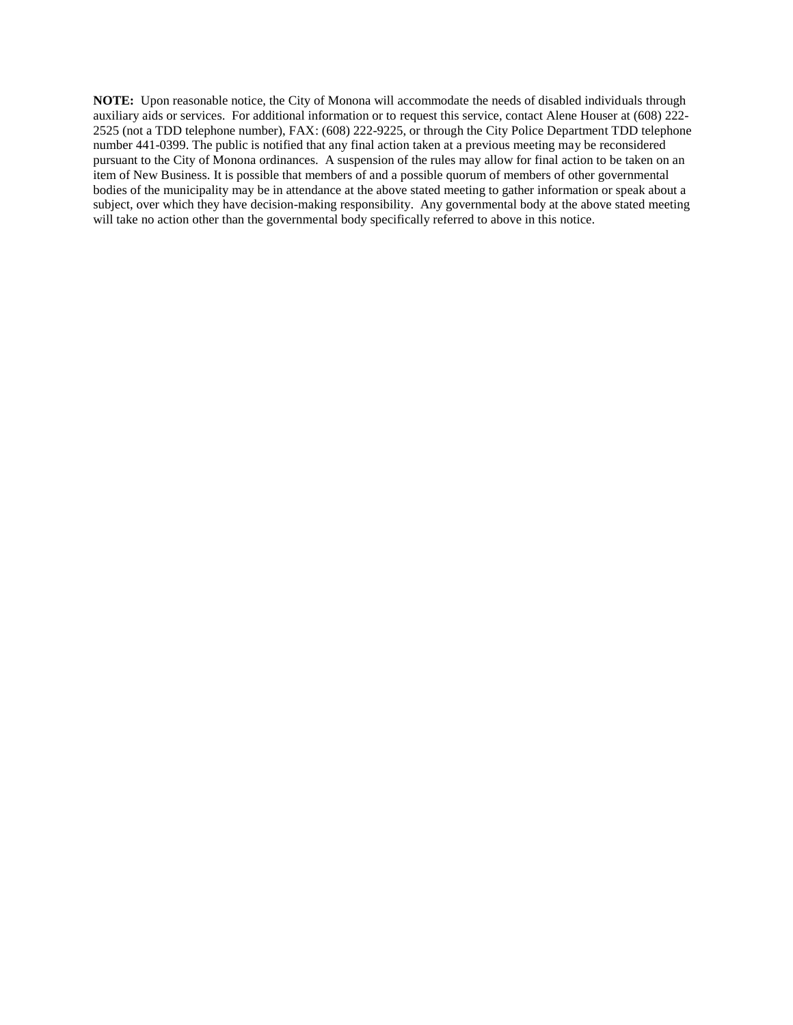**NOTE:** Upon reasonable notice, the City of Monona will accommodate the needs of disabled individuals through auxiliary aids or services. For additional information or to request this service, contact Alene Houser at (608) 222- 2525 (not a TDD telephone number), FAX: (608) 222-9225, or through the City Police Department TDD telephone number 441-0399. The public is notified that any final action taken at a previous meeting may be reconsidered pursuant to the City of Monona ordinances. A suspension of the rules may allow for final action to be taken on an item of New Business. It is possible that members of and a possible quorum of members of other governmental bodies of the municipality may be in attendance at the above stated meeting to gather information or speak about a subject, over which they have decision-making responsibility. Any governmental body at the above stated meeting will take no action other than the governmental body specifically referred to above in this notice.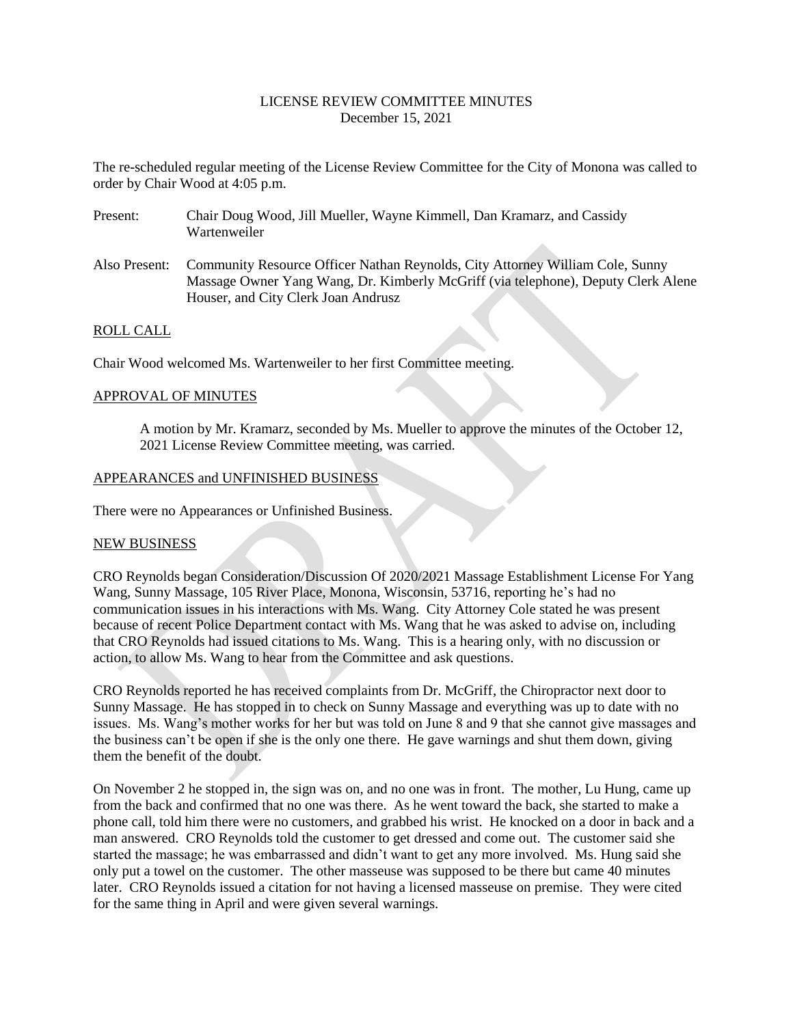### LICENSE REVIEW COMMITTEE MINUTES December 15, 2021

The re-scheduled regular meeting of the License Review Committee for the City of Monona was called to order by Chair Wood at 4:05 p.m.

- Present: Chair Doug Wood, Jill Mueller, Wayne Kimmell, Dan Kramarz, and Cassidy Wartenweiler
- Also Present: Community Resource Officer Nathan Reynolds, City Attorney William Cole, Sunny Massage Owner Yang Wang, Dr. Kimberly McGriff (via telephone), Deputy Clerk Alene Houser, and City Clerk Joan Andrusz

### ROLL CALL

Chair Wood welcomed Ms. Wartenweiler to her first Committee meeting.

#### APPROVAL OF MINUTES

A motion by Mr. Kramarz, seconded by Ms. Mueller to approve the minutes of the October 12, 2021 License Review Committee meeting, was carried.

#### APPEARANCES and UNFINISHED BUSINESS

There were no Appearances or Unfinished Business.

#### NEW BUSINESS

CRO Reynolds began Consideration/Discussion Of 2020/2021 Massage Establishment License For Yang Wang, Sunny Massage, 105 River Place, Monona, Wisconsin, 53716, reporting he's had no communication issues in his interactions with Ms. Wang. City Attorney Cole stated he was present because of recent Police Department contact with Ms. Wang that he was asked to advise on, including that CRO Reynolds had issued citations to Ms. Wang. This is a hearing only, with no discussion or action, to allow Ms. Wang to hear from the Committee and ask questions.

CRO Reynolds reported he has received complaints from Dr. McGriff, the Chiropractor next door to Sunny Massage. He has stopped in to check on Sunny Massage and everything was up to date with no issues. Ms. Wang's mother works for her but was told on June 8 and 9 that she cannot give massages and the business can't be open if she is the only one there. He gave warnings and shut them down, giving them the benefit of the doubt.

On November 2 he stopped in, the sign was on, and no one was in front. The mother, Lu Hung, came up from the back and confirmed that no one was there. As he went toward the back, she started to make a phone call, told him there were no customers, and grabbed his wrist. He knocked on a door in back and a man answered. CRO Reynolds told the customer to get dressed and come out. The customer said she started the massage; he was embarrassed and didn't want to get any more involved. Ms. Hung said she only put a towel on the customer. The other masseuse was supposed to be there but came 40 minutes later. CRO Reynolds issued a citation for not having a licensed masseuse on premise. They were cited for the same thing in April and were given several warnings.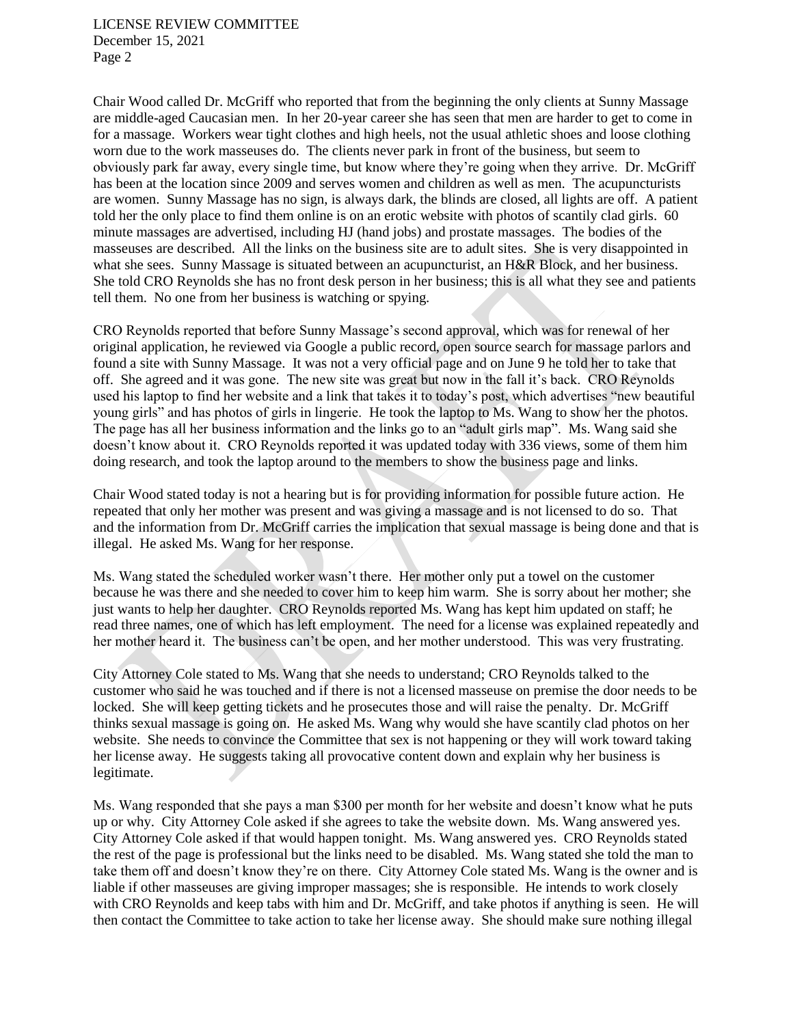LICENSE REVIEW COMMITTEE December 15, 2021 Page 2

Chair Wood called Dr. McGriff who reported that from the beginning the only clients at Sunny Massage are middle-aged Caucasian men. In her 20-year career she has seen that men are harder to get to come in for a massage. Workers wear tight clothes and high heels, not the usual athletic shoes and loose clothing worn due to the work masseuses do. The clients never park in front of the business, but seem to obviously park far away, every single time, but know where they're going when they arrive. Dr. McGriff has been at the location since 2009 and serves women and children as well as men. The acupuncturists are women. Sunny Massage has no sign, is always dark, the blinds are closed, all lights are off. A patient told her the only place to find them online is on an erotic website with photos of scantily clad girls. 60 minute massages are advertised, including HJ (hand jobs) and prostate massages. The bodies of the masseuses are described. All the links on the business site are to adult sites. She is very disappointed in what she sees. Sunny Massage is situated between an acupuncturist, an H&R Block, and her business. She told CRO Reynolds she has no front desk person in her business; this is all what they see and patients tell them. No one from her business is watching or spying.

CRO Reynolds reported that before Sunny Massage's second approval, which was for renewal of her original application, he reviewed via Google a public record, open source search for massage parlors and found a site with Sunny Massage. It was not a very official page and on June 9 he told her to take that off. She agreed and it was gone. The new site was great but now in the fall it's back. CRO Reynolds used his laptop to find her website and a link that takes it to today's post, which advertises "new beautiful young girls" and has photos of girls in lingerie. He took the laptop to Ms. Wang to show her the photos. The page has all her business information and the links go to an "adult girls map". Ms. Wang said she doesn't know about it. CRO Reynolds reported it was updated today with 336 views, some of them him doing research, and took the laptop around to the members to show the business page and links.

Chair Wood stated today is not a hearing but is for providing information for possible future action. He repeated that only her mother was present and was giving a massage and is not licensed to do so. That and the information from Dr. McGriff carries the implication that sexual massage is being done and that is illegal. He asked Ms. Wang for her response.

Ms. Wang stated the scheduled worker wasn't there. Her mother only put a towel on the customer because he was there and she needed to cover him to keep him warm. She is sorry about her mother; she just wants to help her daughter. CRO Reynolds reported Ms. Wang has kept him updated on staff; he read three names, one of which has left employment. The need for a license was explained repeatedly and her mother heard it. The business can't be open, and her mother understood. This was very frustrating.

City Attorney Cole stated to Ms. Wang that she needs to understand; CRO Reynolds talked to the customer who said he was touched and if there is not a licensed masseuse on premise the door needs to be locked. She will keep getting tickets and he prosecutes those and will raise the penalty. Dr. McGriff thinks sexual massage is going on. He asked Ms. Wang why would she have scantily clad photos on her website. She needs to convince the Committee that sex is not happening or they will work toward taking her license away. He suggests taking all provocative content down and explain why her business is legitimate.

Ms. Wang responded that she pays a man \$300 per month for her website and doesn't know what he puts up or why. City Attorney Cole asked if she agrees to take the website down. Ms. Wang answered yes. City Attorney Cole asked if that would happen tonight. Ms. Wang answered yes. CRO Reynolds stated the rest of the page is professional but the links need to be disabled. Ms. Wang stated she told the man to take them off and doesn't know they're on there. City Attorney Cole stated Ms. Wang is the owner and is liable if other masseuses are giving improper massages; she is responsible. He intends to work closely with CRO Reynolds and keep tabs with him and Dr. McGriff, and take photos if anything is seen. He will then contact the Committee to take action to take her license away. She should make sure nothing illegal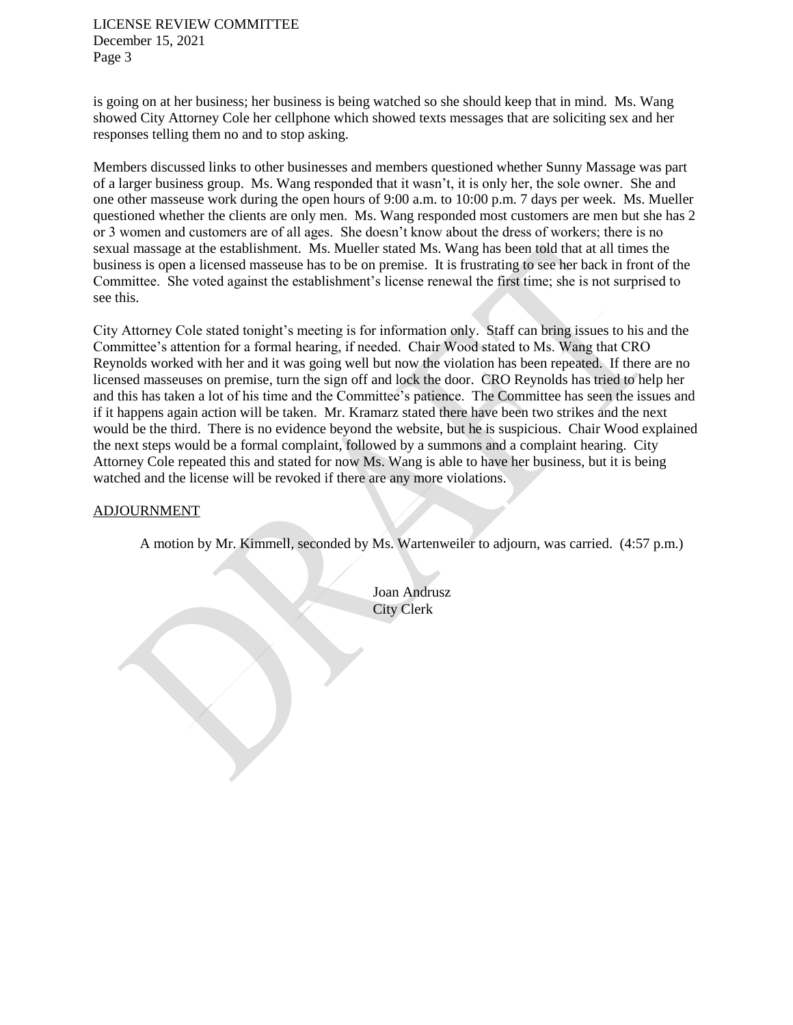LICENSE REVIEW COMMITTEE December 15, 2021 Page 3

is going on at her business; her business is being watched so she should keep that in mind. Ms. Wang showed City Attorney Cole her cellphone which showed texts messages that are soliciting sex and her responses telling them no and to stop asking.

Members discussed links to other businesses and members questioned whether Sunny Massage was part of a larger business group. Ms. Wang responded that it wasn't, it is only her, the sole owner. She and one other masseuse work during the open hours of 9:00 a.m. to 10:00 p.m. 7 days per week. Ms. Mueller questioned whether the clients are only men. Ms. Wang responded most customers are men but she has 2 or 3 women and customers are of all ages. She doesn't know about the dress of workers; there is no sexual massage at the establishment. Ms. Mueller stated Ms. Wang has been told that at all times the business is open a licensed masseuse has to be on premise. It is frustrating to see her back in front of the Committee. She voted against the establishment's license renewal the first time; she is not surprised to see this.

City Attorney Cole stated tonight's meeting is for information only. Staff can bring issues to his and the Committee's attention for a formal hearing, if needed. Chair Wood stated to Ms. Wang that CRO Reynolds worked with her and it was going well but now the violation has been repeated. If there are no licensed masseuses on premise, turn the sign off and lock the door. CRO Reynolds has tried to help her and this has taken a lot of his time and the Committee's patience. The Committee has seen the issues and if it happens again action will be taken. Mr. Kramarz stated there have been two strikes and the next would be the third. There is no evidence beyond the website, but he is suspicious. Chair Wood explained the next steps would be a formal complaint, followed by a summons and a complaint hearing. City Attorney Cole repeated this and stated for now Ms. Wang is able to have her business, but it is being watched and the license will be revoked if there are any more violations.

#### ADJOURNMENT

A motion by Mr. Kimmell, seconded by Ms. Wartenweiler to adjourn, was carried. (4:57 p.m.)

Joan Andrusz City Clerk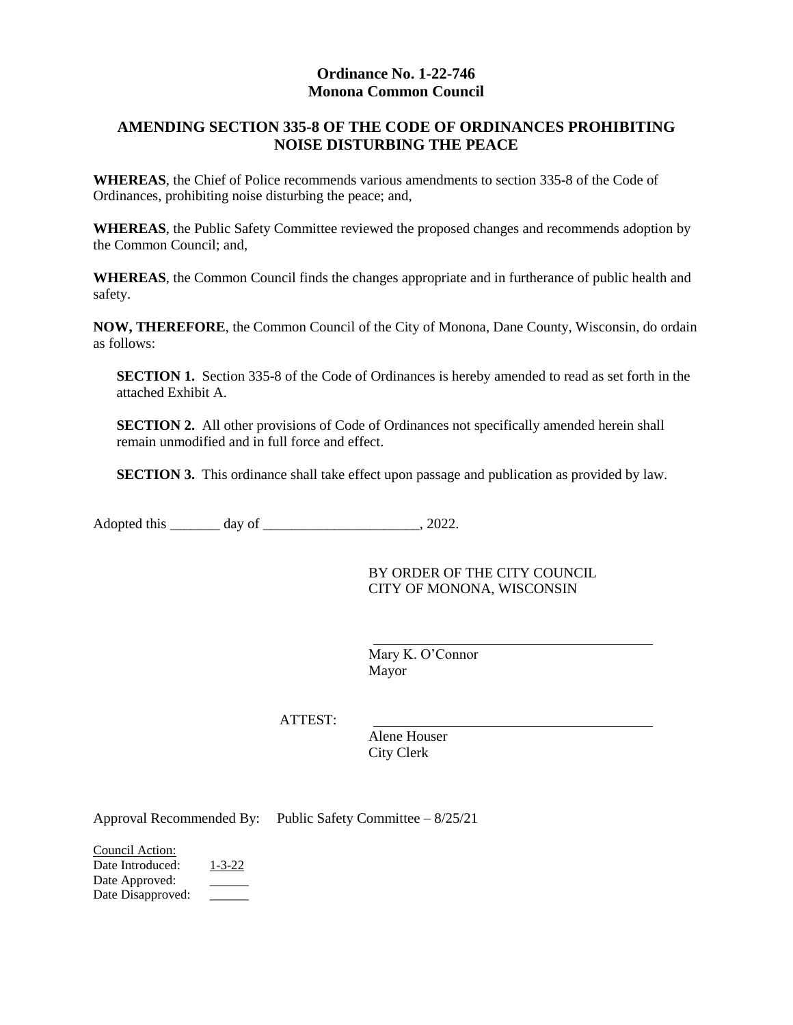### **Ordinance No. 1-22-746 Monona Common Council**

## **AMENDING SECTION 335-8 OF THE CODE OF ORDINANCES PROHIBITING NOISE DISTURBING THE PEACE**

**WHEREAS**, the Chief of Police recommends various amendments to section 335-8 of the Code of Ordinances, prohibiting noise disturbing the peace; and,

**WHEREAS**, the Public Safety Committee reviewed the proposed changes and recommends adoption by the Common Council; and,

**WHEREAS**, the Common Council finds the changes appropriate and in furtherance of public health and safety.

**NOW, THEREFORE**, the Common Council of the City of Monona, Dane County, Wisconsin, do ordain as follows:

**SECTION 1.** Section 335-8 of the Code of Ordinances is hereby amended to read as set forth in the attached Exhibit A.

**SECTION 2.** All other provisions of Code of Ordinances not specifically amended herein shall remain unmodified and in full force and effect.

**SECTION 3.** This ordinance shall take effect upon passage and publication as provided by law.

Adopted this \_\_\_\_\_\_\_ day of \_\_\_\_\_\_\_\_\_\_\_\_\_\_\_\_\_\_\_\_\_, 2022.

BY ORDER OF THE CITY COUNCIL CITY OF MONONA, WISCONSIN

Mary K. O'Connor Mayor

ATTEST:

Alene Houser City Clerk

Approval Recommended By: Public Safety Committee – 8/25/21

Council Action: Date Introduced: 1-3-22 Date Approved: Date Disapproved: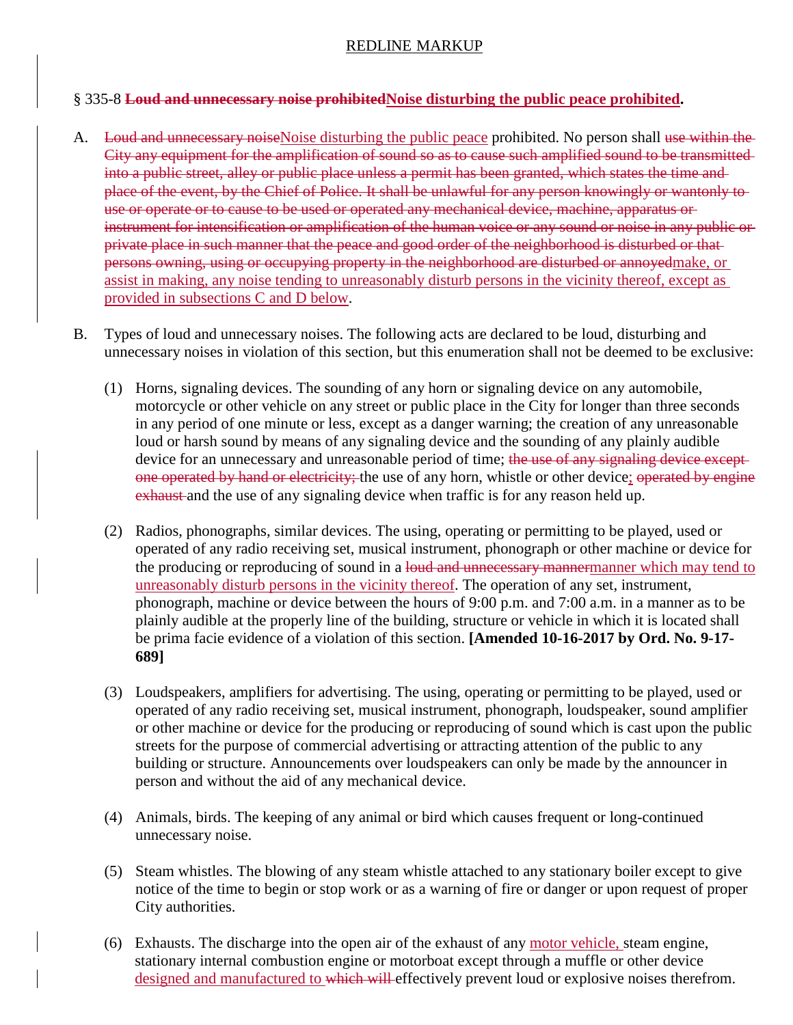## REDLINE MARKUP

### § 335-8 **Loud and unnecessary noise prohibitedNoise disturbing the public peace prohibited.**

- A. Loud and unnecessary noise Noise disturbing the public peace prohibited. No person shall use within the City any equipment for the amplification of sound so as to cause such amplified sound to be transmitted into a public street, alley or public place unless a permit has been granted, which states the time and place of the event, by the Chief of Police. It shall be unlawful for any person knowingly or wantonly to use or operate or to cause to be used or operated any mechanical device, machine, apparatus or instrument for intensification or amplification of the human voice or any sound or noise in any public or private place in such manner that the peace and good order of the neighborhood is disturbed or that persons owning, using or occupying property in the neighborhood are disturbed or annoyedmake, or assist in making, any noise tending to unreasonably disturb persons in the vicinity thereof, except as provided in subsections C and D below.
- B. Types of loud and unnecessary noises. The following acts are declared to be loud, disturbing and unnecessary noises in violation of this section, but this enumeration shall not be deemed to be exclusive:
	- (1) Horns, signaling devices. The sounding of any horn or signaling device on any automobile, motorcycle or other vehicle on any street or public place in the City for longer than three seconds in any period of one minute or less, except as a danger warning; the creation of any unreasonable loud or harsh sound by means of any signaling device and the sounding of any plainly audible device for an unnecessary and unreasonable period of time; the use of any signaling device exceptone operated by hand or electricity; the use of any horn, whistle or other device; operated by engine exhaust and the use of any signaling device when traffic is for any reason held up.
	- (2) Radios, phonographs, similar devices. The using, operating or permitting to be played, used or operated of any radio receiving set, musical instrument, phonograph or other machine or device for the producing or reproducing of sound in a loud and unnecessary mannermanner which may tend to unreasonably disturb persons in the vicinity thereof. The operation of any set, instrument, phonograph, machine or device between the hours of 9:00 p.m. and 7:00 a.m. in a manner as to be plainly audible at the properly line of the building, structure or vehicle in which it is located shall be prima facie evidence of a violation of this section. **[Amended 10-16-2017 by Ord. No. 9-17- 689]**
	- (3) Loudspeakers, amplifiers for advertising. The using, operating or permitting to be played, used or operated of any radio receiving set, musical instrument, phonograph, loudspeaker, sound amplifier or other machine or device for the producing or reproducing of sound which is cast upon the public streets for the purpose of commercial advertising or attracting attention of the public to any building or structure. Announcements over loudspeakers can only be made by the announcer in person and without the aid of any mechanical device.
	- (4) Animals, birds. The keeping of any animal or bird which causes frequent or long-continued unnecessary noise.
	- (5) Steam whistles. The blowing of any steam whistle attached to any stationary boiler except to give notice of the time to begin or stop work or as a warning of fire or danger or upon request of proper City authorities.
	- (6) Exhausts. The discharge into the open air of the exhaust of any motor vehicle, steam engine, stationary internal combustion engine or motorboat except through a muffle or other device designed and manufactured to which will effectively prevent loud or explosive noises therefrom.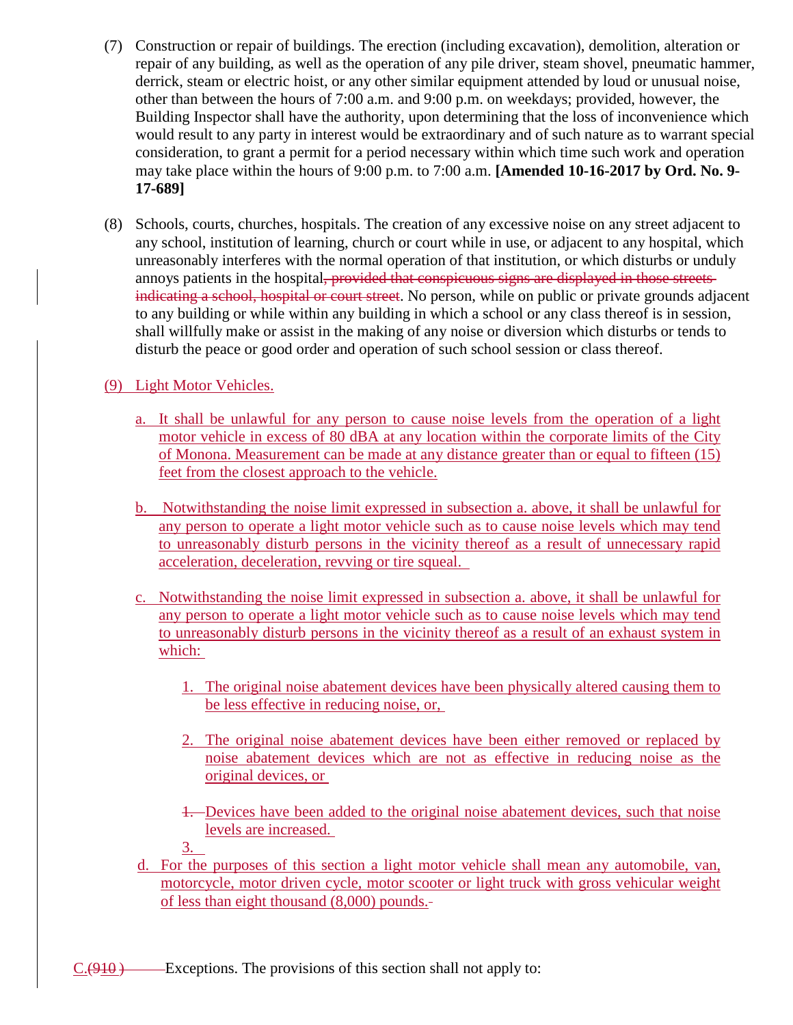- (7) Construction or repair of buildings. The erection (including excavation), demolition, alteration or repair of any building, as well as the operation of any pile driver, steam shovel, pneumatic hammer, derrick, steam or electric hoist, or any other similar equipment attended by loud or unusual noise, other than between the hours of 7:00 a.m. and 9:00 p.m. on weekdays; provided, however, the Building Inspector shall have the authority, upon determining that the loss of inconvenience which would result to any party in interest would be extraordinary and of such nature as to warrant special consideration, to grant a permit for a period necessary within which time such work and operation may take place within the hours of 9:00 p.m. to 7:00 a.m. **[Amended 10-16-2017 by Ord. No. 9- 17-689]**
- (8) Schools, courts, churches, hospitals. The creation of any excessive noise on any street adjacent to any school, institution of learning, church or court while in use, or adjacent to any hospital, which unreasonably interferes with the normal operation of that institution, or which disturbs or unduly annoys patients in the hospital, provided that conspicuous signs are displayed in those streets indicating a school, hospital or court street. No person, while on public or private grounds adjacent to any building or while within any building in which a school or any class thereof is in session, shall willfully make or assist in the making of any noise or diversion which disturbs or tends to disturb the peace or good order and operation of such school session or class thereof.

# (9) Light Motor Vehicles.

- a. It shall be unlawful for any person to cause noise levels from the operation of a light motor vehicle in excess of 80 dBA at any location within the corporate limits of the City of Monona. Measurement can be made at any distance greater than or equal to fifteen (15) feet from the closest approach to the vehicle.
- b. Notwithstanding the noise limit expressed in subsection a. above, it shall be unlawful for any person to operate a light motor vehicle such as to cause noise levels which may tend to unreasonably disturb persons in the vicinity thereof as a result of unnecessary rapid acceleration, deceleration, revving or tire squeal.
- c. Notwithstanding the noise limit expressed in subsection a. above, it shall be unlawful for any person to operate a light motor vehicle such as to cause noise levels which may tend to unreasonably disturb persons in the vicinity thereof as a result of an exhaust system in which:
	- 1. The original noise abatement devices have been physically altered causing them to be less effective in reducing noise, or,
	- 2. The original noise abatement devices have been either removed or replaced by noise abatement devices which are not as effective in reducing noise as the original devices, or
	- 1. Devices have been added to the original noise abatement devices, such that noise levels are increased.
	- 3.
- d. For the purposes of this section a light motor vehicle shall mean any automobile, van, motorcycle, motor driven cycle, motor scooter or light truck with gross vehicular weight of less than eight thousand (8,000) pounds.

 $C.(910)$  Exceptions. The provisions of this section shall not apply to: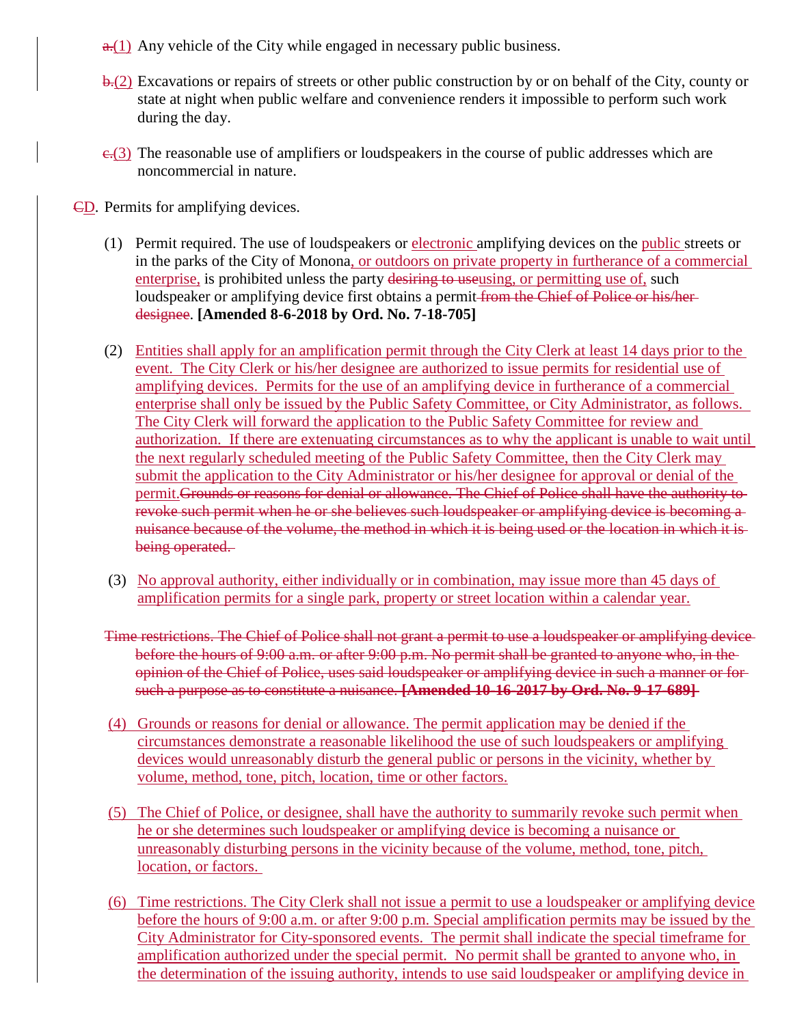- $\frac{a(1)}{b(1)}$  Any vehicle of the City while engaged in necessary public business.
- $\frac{b}{c}$ . Excavations or repairs of streets or other public construction by or on behalf of the City, county or state at night when public welfare and convenience renders it impossible to perform such work during the day.
- $\epsilon$ .(3) The reasonable use of amplifiers or loudspeakers in the course of public addresses which are noncommercial in nature.
- CD. Permits for amplifying devices.
	- (1) Permit required. The use of loudspeakers or electronic amplifying devices on the public streets or in the parks of the City of Monona, or outdoors on private property in furtherance of a commercial enterprise, is prohibited unless the party desiring to use using, or permitting use of, such loudspeaker or amplifying device first obtains a permit from the Chief of Police or his/herdesignee. **[Amended 8-6-2018 by Ord. No. 7-18-705]**
	- (2) Entities shall apply for an amplification permit through the City Clerk at least 14 days prior to the event. The City Clerk or his/her designee are authorized to issue permits for residential use of amplifying devices. Permits for the use of an amplifying device in furtherance of a commercial enterprise shall only be issued by the Public Safety Committee, or City Administrator, as follows. The City Clerk will forward the application to the Public Safety Committee for review and authorization. If there are extenuating circumstances as to why the applicant is unable to wait until the next regularly scheduled meeting of the Public Safety Committee, then the City Clerk may submit the application to the City Administrator or his/her designee for approval or denial of the permit.Grounds or reasons for denial or allowance. The Chief of Police shall have the authority to revoke such permit when he or she believes such loudspeaker or amplifying device is becoming a nuisance because of the volume, the method in which it is being used or the location in which it is being operated.
	- (3) No approval authority, either individually or in combination, may issue more than 45 days of amplification permits for a single park, property or street location within a calendar year.
	- Time restrictions. The Chief of Police shall not grant a permit to use a loudspeaker or amplifying device before the hours of 9:00 a.m. or after 9:00 p.m. No permit shall be granted to anyone who, in the opinion of the Chief of Police, uses said loudspeaker or amplifying device in such a manner or for such a purpose as to constitute a nuisance. **[Amended 10-16-2017 by Ord. No. 9-17-689]**
	- (4) Grounds or reasons for denial or allowance. The permit application may be denied if the circumstances demonstrate a reasonable likelihood the use of such loudspeakers or amplifying devices would unreasonably disturb the general public or persons in the vicinity, whether by volume, method, tone, pitch, location, time or other factors.
	- (5) The Chief of Police, or designee, shall have the authority to summarily revoke such permit when he or she determines such loudspeaker or amplifying device is becoming a nuisance or unreasonably disturbing persons in the vicinity because of the volume, method, tone, pitch, location, or factors.
	- (6) Time restrictions. The City Clerk shall not issue a permit to use a loudspeaker or amplifying device before the hours of 9:00 a.m. or after 9:00 p.m. Special amplification permits may be issued by the City Administrator for City-sponsored events. The permit shall indicate the special timeframe for amplification authorized under the special permit. No permit shall be granted to anyone who, in the determination of the issuing authority, intends to use said loudspeaker or amplifying device in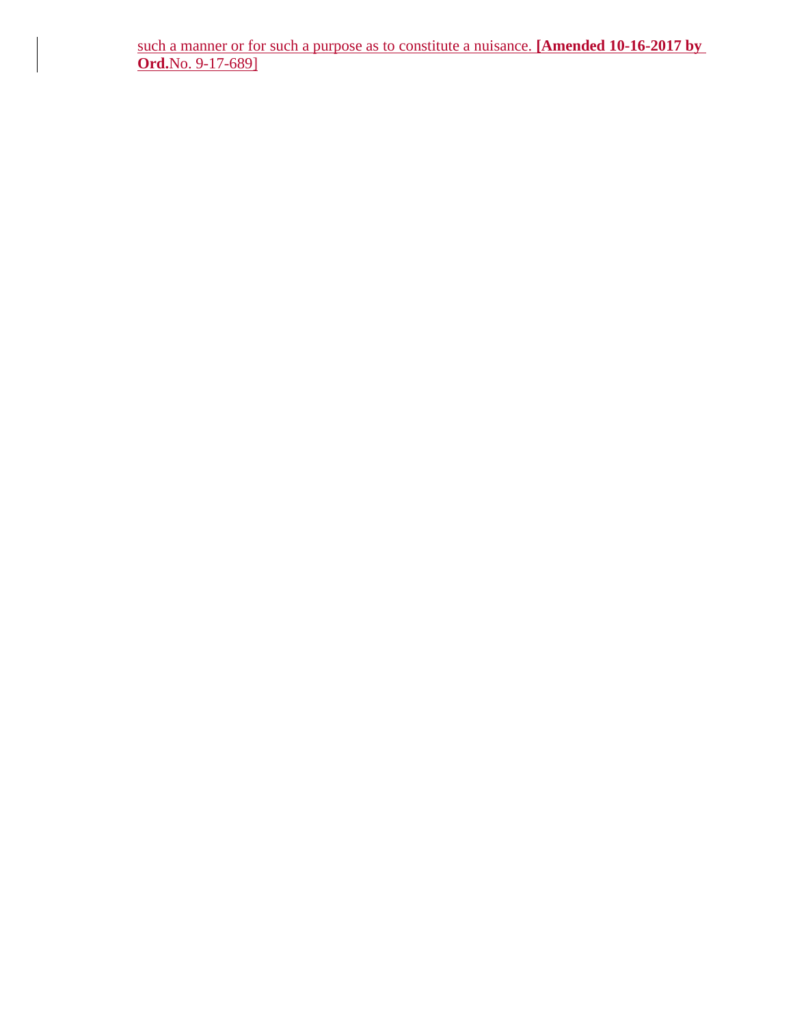such a manner or for such a purpose as to constitute a nuisance. **[Amended 10-16-2017 by Ord.**No. 9-17-689]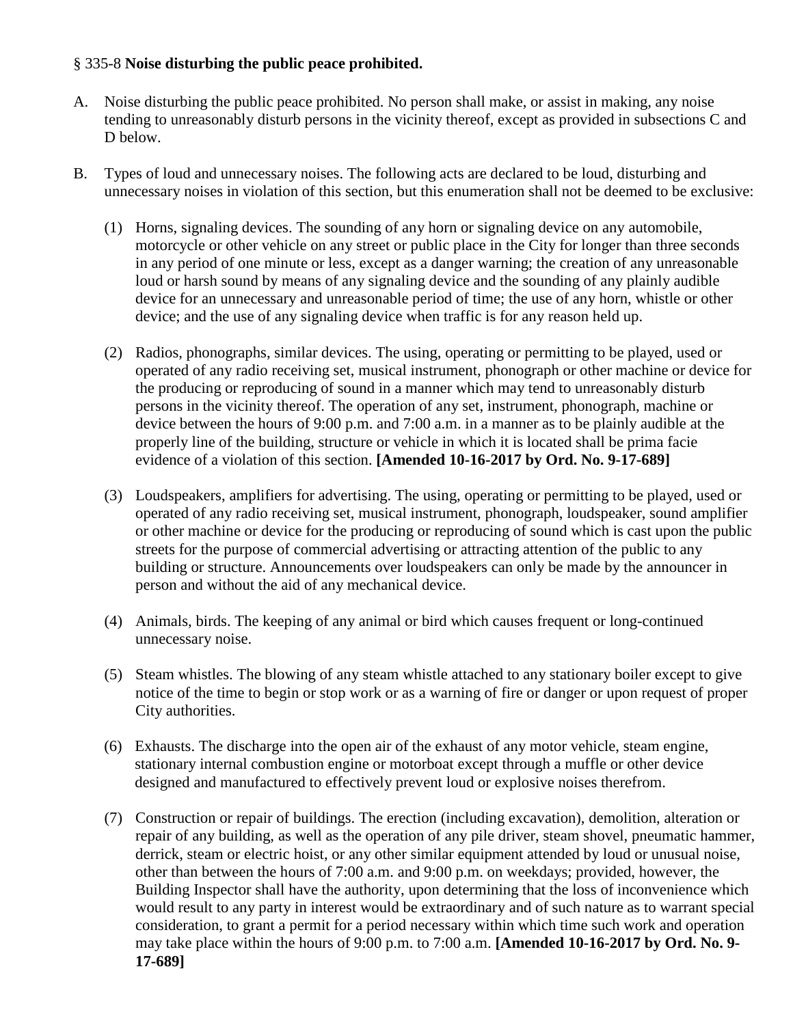## § 335-8 **Noise disturbing the public peace prohibited.**

- A. Noise disturbing the public peace prohibited. No person shall make, or assist in making, any noise tending to unreasonably disturb persons in the vicinity thereof, except as provided in subsections C and D below.
- B. Types of loud and unnecessary noises. The following acts are declared to be loud, disturbing and unnecessary noises in violation of this section, but this enumeration shall not be deemed to be exclusive:
	- (1) Horns, signaling devices. The sounding of any horn or signaling device on any automobile, motorcycle or other vehicle on any street or public place in the City for longer than three seconds in any period of one minute or less, except as a danger warning; the creation of any unreasonable loud or harsh sound by means of any signaling device and the sounding of any plainly audible device for an unnecessary and unreasonable period of time; the use of any horn, whistle or other device; and the use of any signaling device when traffic is for any reason held up.
	- (2) Radios, phonographs, similar devices. The using, operating or permitting to be played, used or operated of any radio receiving set, musical instrument, phonograph or other machine or device for the producing or reproducing of sound in a manner which may tend to unreasonably disturb persons in the vicinity thereof. The operation of any set, instrument, phonograph, machine or device between the hours of 9:00 p.m. and 7:00 a.m. in a manner as to be plainly audible at the properly line of the building, structure or vehicle in which it is located shall be prima facie evidence of a violation of this section. **[Amended 10-16-2017 by Ord. No. 9-17-689]**
	- (3) Loudspeakers, amplifiers for advertising. The using, operating or permitting to be played, used or operated of any radio receiving set, musical instrument, phonograph, loudspeaker, sound amplifier or other machine or device for the producing or reproducing of sound which is cast upon the public streets for the purpose of commercial advertising or attracting attention of the public to any building or structure. Announcements over loudspeakers can only be made by the announcer in person and without the aid of any mechanical device.
	- (4) Animals, birds. The keeping of any animal or bird which causes frequent or long-continued unnecessary noise.
	- (5) Steam whistles. The blowing of any steam whistle attached to any stationary boiler except to give notice of the time to begin or stop work or as a warning of fire or danger or upon request of proper City authorities.
	- (6) Exhausts. The discharge into the open air of the exhaust of any motor vehicle, steam engine, stationary internal combustion engine or motorboat except through a muffle or other device designed and manufactured to effectively prevent loud or explosive noises therefrom.
	- (7) Construction or repair of buildings. The erection (including excavation), demolition, alteration or repair of any building, as well as the operation of any pile driver, steam shovel, pneumatic hammer, derrick, steam or electric hoist, or any other similar equipment attended by loud or unusual noise, other than between the hours of 7:00 a.m. and 9:00 p.m. on weekdays; provided, however, the Building Inspector shall have the authority, upon determining that the loss of inconvenience which would result to any party in interest would be extraordinary and of such nature as to warrant special consideration, to grant a permit for a period necessary within which time such work and operation may take place within the hours of 9:00 p.m. to 7:00 a.m. **[Amended 10-16-2017 by Ord. No. 9- 17-689]**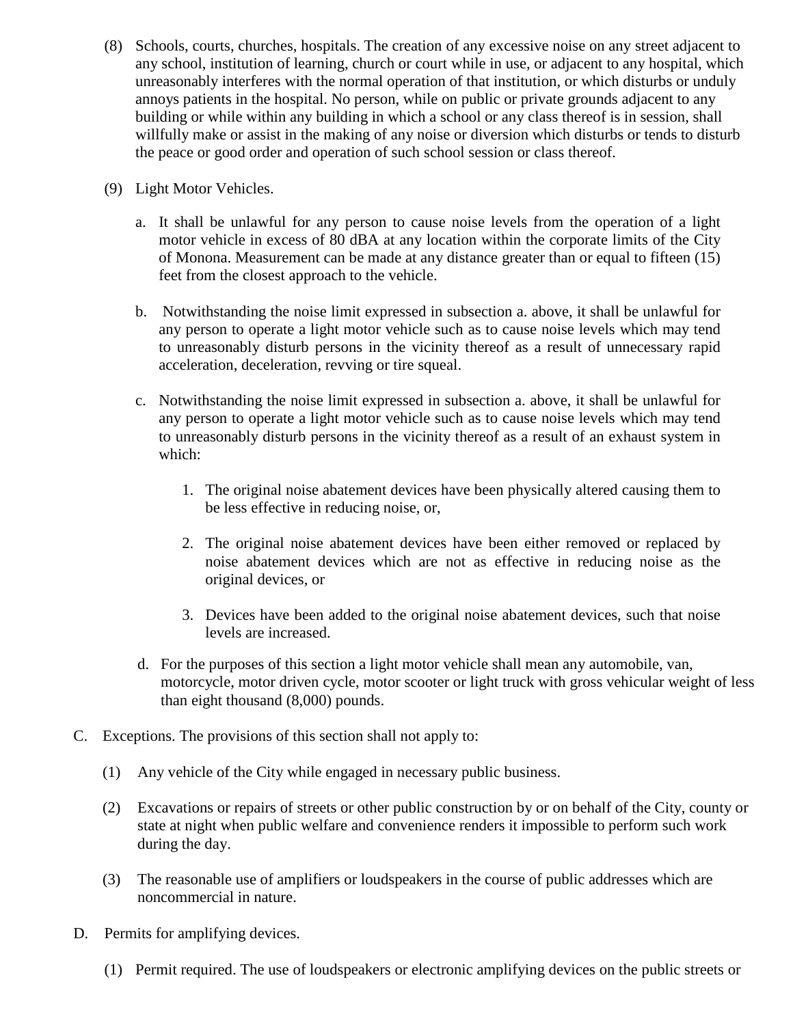- (8) Schools, courts, churches, hospitals. The creation of any excessive noise on any street adjacent to any school, institution of learning, church or court while in use, or adjacent to any hospital, which unreasonably interferes with the normal operation of that institution, or which disturbs or unduly annoys patients in the hospital. No person, while on public or private grounds adjacent to any building or while within any building in which a school or any class thereof is in session, shall willfully make or assist in the making of any noise or diversion which disturbs or tends to disturb the peace or good order and operation of such school session or class thereof.
- (9) Light Motor Vehicles.
	- a. It shall be unlawful for any person to cause noise levels from the operation of a light motor vehicle in excess of 80 dBA at any location within the corporate limits of the City of Monona. Measurement can be made at any distance greater than or equal to fifteen (15) feet from the closest approach to the vehicle.
	- b. Notwithstanding the noise limit expressed in subsection a. above, it shall be unlawful for any person to operate a light motor vehicle such as to cause noise levels which may tend to unreasonably disturb persons in the vicinity thereof as a result of unnecessary rapid acceleration, deceleration, revving or tire squeal.
	- c. Notwithstanding the noise limit expressed in subsection a. above, it shall be unlawful for any person to operate a light motor vehicle such as to cause noise levels which may tend to unreasonably disturb persons in the vicinity thereof as a result of an exhaust system in which:
		- 1. The original noise abatement devices have been physically altered causing them to be less effective in reducing noise, or,
		- 2. The original noise abatement devices have been either removed or replaced by noise abatement devices which are not as effective in reducing noise as the original devices, or
		- 3. Devices have been added to the original noise abatement devices, such that noise levels are increased.
	- d. For the purposes of this section a light motor vehicle shall mean any automobile, van, motorcycle, motor driven cycle, motor scooter or light truck with gross vehicular weight of less than eight thousand (8,000) pounds.
- C. Exceptions. The provisions of this section shall not apply to:
	- (1) Any vehicle of the City while engaged in necessary public business.
	- (2) Excavations or repairs of streets or other public construction by or on behalf of the City, county or state at night when public welfare and convenience renders it impossible to perform such work during the day.
	- (3) The reasonable use of amplifiers or loudspeakers in the course of public addresses which are noncommercial in nature.
- D. Permits for amplifying devices.
	- (1) Permit required. The use of loudspeakers or electronic amplifying devices on the public streets or